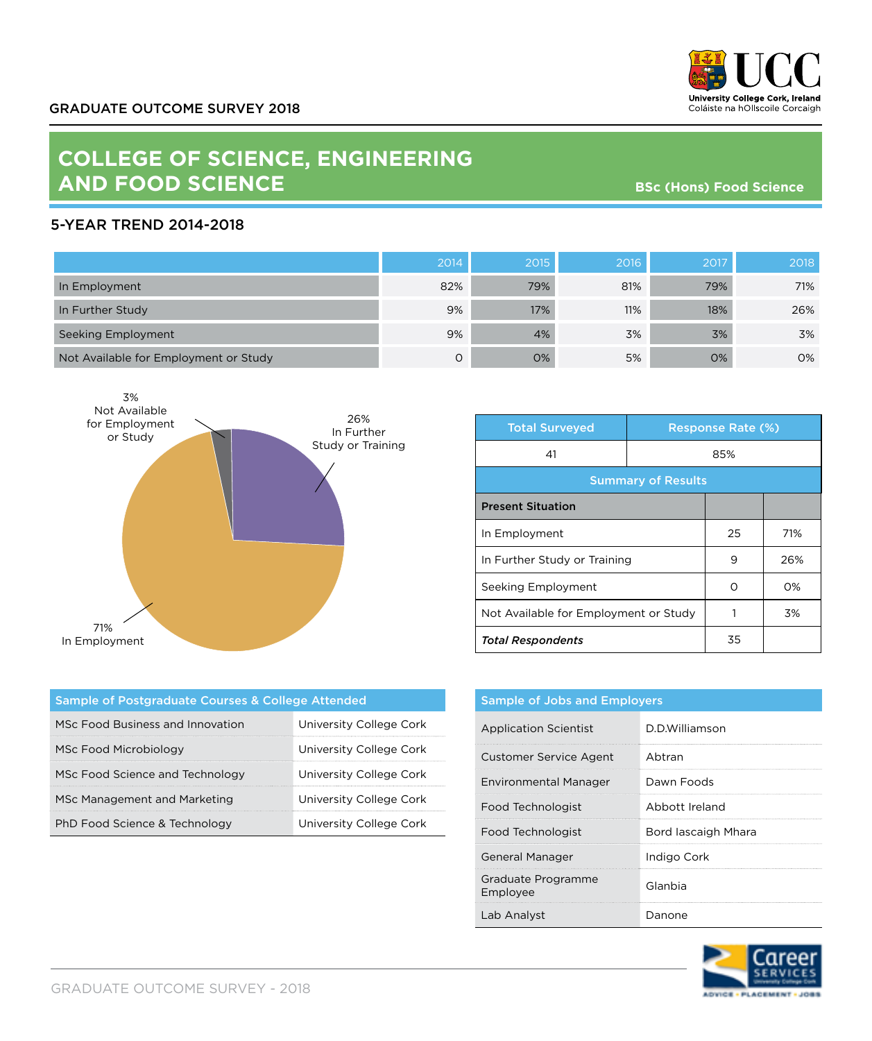

## **COLLEGE OF SCIENCE, ENGINEERING AND FOOD SCIENCE**

**BSc (Hons) Food Science**

## 5-YEAR TREND 2014-2018

|                                       | 2014 | 2015 | 2016 | 2017 | 2018 |
|---------------------------------------|------|------|------|------|------|
| In Employment                         | 82%  | 79%  | 81%  | 79%  | 71%  |
| In Further Study                      | 9%   | 17%  | 11%  | 18%  | 26%  |
| Seeking Employment                    | 9%   | 4%   | 3%   | 3%   | 3%   |
| Not Available for Employment or Study | Ο    | 0%   | 5%   | 0%   | 0%   |



| <b>Total Surveyed</b>                 |     | <b>Response Rate (%)</b> |       |  |
|---------------------------------------|-----|--------------------------|-------|--|
| 41                                    | 85% |                          |       |  |
| <b>Summary of Results</b>             |     |                          |       |  |
| <b>Present Situation</b>              |     |                          |       |  |
| In Employment                         |     | 25                       | 71%   |  |
| In Further Study or Training          |     | 9                        | 26%   |  |
| Seeking Employment                    |     | ∩                        | $O\%$ |  |
| Not Available for Employment or Study |     |                          | 3%    |  |
| <b>Total Respondents</b>              |     | 35                       |       |  |

| Sample of Postgraduate Courses & College Attended |                         |  |  |  |
|---------------------------------------------------|-------------------------|--|--|--|
| MSc Food Business and Innovation                  | University College Cork |  |  |  |
| MSc Food Microbiology                             | University College Cork |  |  |  |
| MSc Food Science and Technology                   | University College Cork |  |  |  |
| MSc Management and Marketing                      | University College Cork |  |  |  |
| PhD Food Science & Technology                     | University College Cork |  |  |  |

| <b>Sample of Jobs and Employers</b> |                     |  |
|-------------------------------------|---------------------|--|
| <b>Application Scientist</b>        | D.D.Williamson      |  |
| <b>Customer Service Agent</b>       | Abtran              |  |
| Environmental Manager               | Dawn Foods          |  |
| Food Technologist                   | Abbott Ireland      |  |
| Food Technologist                   | Bord lascaigh Mhara |  |
| <b>General Manager</b>              | Indigo Cork         |  |
| Graduate Programme<br>Employee      | Glanbia             |  |
| Lab Analyst                         | Danone              |  |